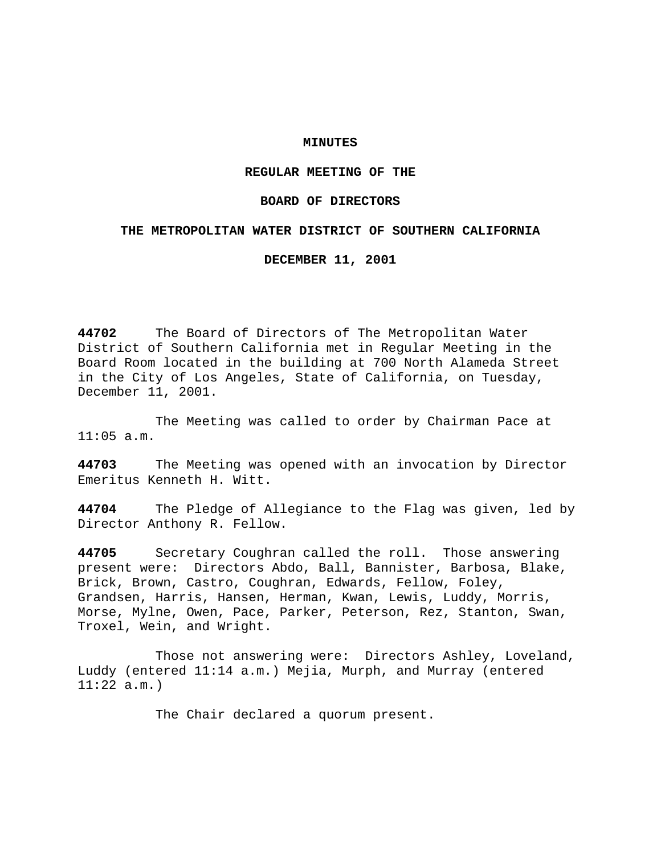## **MINUTES**

# **REGULAR MEETING OF THE**

### **BOARD OF DIRECTORS**

### **THE METROPOLITAN WATER DISTRICT OF SOUTHERN CALIFORNIA**

**DECEMBER 11, 2001**

**44702** The Board of Directors of The Metropolitan Water District of Southern California met in Regular Meeting in the Board Room located in the building at 700 North Alameda Street in the City of Los Angeles, State of California, on Tuesday, December 11, 2001.

The Meeting was called to order by Chairman Pace at 11:05 a.m.

**44703** The Meeting was opened with an invocation by Director Emeritus Kenneth H. Witt.

**44704** The Pledge of Allegiance to the Flag was given, led by Director Anthony R. Fellow.

**44705** Secretary Coughran called the roll. Those answering present were: Directors Abdo, Ball, Bannister, Barbosa, Blake, Brick, Brown, Castro, Coughran, Edwards, Fellow, Foley, Grandsen, Harris, Hansen, Herman, Kwan, Lewis, Luddy, Morris, Morse, Mylne, Owen, Pace, Parker, Peterson, Rez, Stanton, Swan, Troxel, Wein, and Wright.

Those not answering were: Directors Ashley, Loveland, Luddy (entered 11:14 a.m.) Mejia, Murph, and Murray (entered  $11:22$  a.m.)

The Chair declared a quorum present.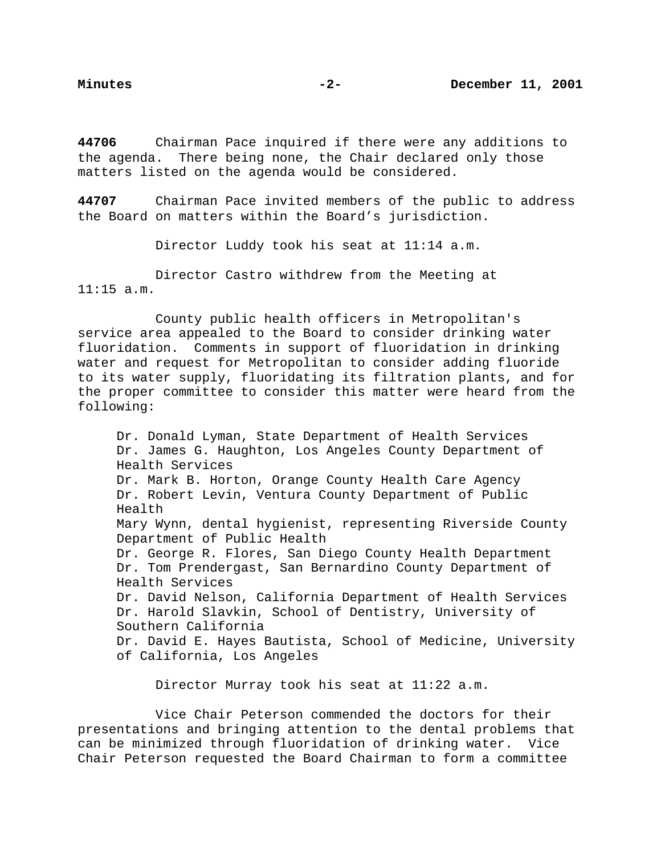**44706** Chairman Pace inquired if there were any additions to the agenda. There being none, the Chair declared only those matters listed on the agenda would be considered.

**44707** Chairman Pace invited members of the public to address the Board on matters within the Board's jurisdiction.

Director Luddy took his seat at 11:14 a.m.

Director Castro withdrew from the Meeting at 11:15 a.m.

County public health officers in Metropolitan's service area appealed to the Board to consider drinking water fluoridation. Comments in support of fluoridation in drinking water and request for Metropolitan to consider adding fluoride to its water supply, fluoridating its filtration plants, and for the proper committee to consider this matter were heard from the following:

Dr. Donald Lyman, State Department of Health Services Dr. James G. Haughton, Los Angeles County Department of Health Services Dr. Mark B. Horton, Orange County Health Care Agency Dr. Robert Levin, Ventura County Department of Public Health Mary Wynn, dental hygienist, representing Riverside County Department of Public Health Dr. George R. Flores, San Diego County Health Department Dr. Tom Prendergast, San Bernardino County Department of Health Services Dr. David Nelson, California Department of Health Services Dr. Harold Slavkin, School of Dentistry, University of Southern California Dr. David E. Hayes Bautista, School of Medicine, University of California, Los Angeles

Director Murray took his seat at 11:22 a.m.

Vice Chair Peterson commended the doctors for their presentations and bringing attention to the dental problems that can be minimized through fluoridation of drinking water. Vice Chair Peterson requested the Board Chairman to form a committee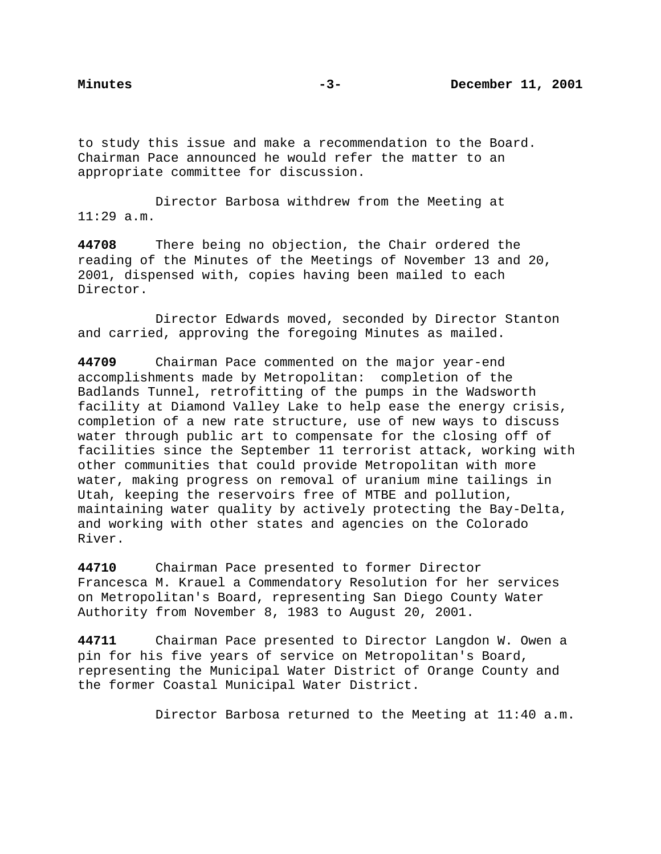to study this issue and make a recommendation to the Board. Chairman Pace announced he would refer the matter to an appropriate committee for discussion.

Director Barbosa withdrew from the Meeting at  $11:29$  a.m.

**44708** There being no objection, the Chair ordered the reading of the Minutes of the Meetings of November 13 and 20, 2001, dispensed with, copies having been mailed to each Director.

Director Edwards moved, seconded by Director Stanton and carried, approving the foregoing Minutes as mailed.

**44709** Chairman Pace commented on the major year-end accomplishments made by Metropolitan: completion of the Badlands Tunnel, retrofitting of the pumps in the Wadsworth facility at Diamond Valley Lake to help ease the energy crisis, completion of a new rate structure, use of new ways to discuss water through public art to compensate for the closing off of facilities since the September 11 terrorist attack, working with other communities that could provide Metropolitan with more water, making progress on removal of uranium mine tailings in Utah, keeping the reservoirs free of MTBE and pollution, maintaining water quality by actively protecting the Bay-Delta, and working with other states and agencies on the Colorado River.

**44710** Chairman Pace presented to former Director Francesca M. Krauel a Commendatory Resolution for her services on Metropolitan's Board, representing San Diego County Water Authority from November 8, 1983 to August 20, 2001.

**44711** Chairman Pace presented to Director Langdon W. Owen a pin for his five years of service on Metropolitan's Board, representing the Municipal Water District of Orange County and the former Coastal Municipal Water District.

Director Barbosa returned to the Meeting at 11:40 a.m.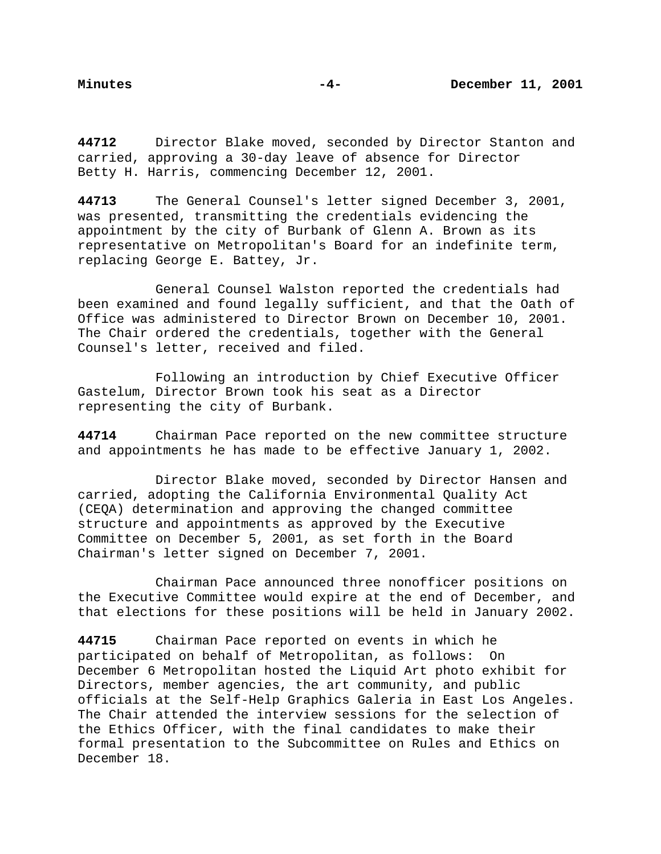**44712** Director Blake moved, seconded by Director Stanton and carried, approving a 30-day leave of absence for Director Betty H. Harris, commencing December 12, 2001.

**44713** The General Counsel's letter signed December 3, 2001, was presented, transmitting the credentials evidencing the appointment by the city of Burbank of Glenn A. Brown as its representative on Metropolitan's Board for an indefinite term, replacing George E. Battey, Jr.

General Counsel Walston reported the credentials had been examined and found legally sufficient, and that the Oath of Office was administered to Director Brown on December 10, 2001. The Chair ordered the credentials, together with the General Counsel's letter, received and filed.

Following an introduction by Chief Executive Officer Gastelum, Director Brown took his seat as a Director representing the city of Burbank.

**44714** Chairman Pace reported on the new committee structure and appointments he has made to be effective January 1, 2002.

Director Blake moved, seconded by Director Hansen and carried, adopting the California Environmental Quality Act (CEQA) determination and approving the changed committee structure and appointments as approved by the Executive Committee on December 5, 2001, as set forth in the Board Chairman's letter signed on December 7, 2001.

Chairman Pace announced three nonofficer positions on the Executive Committee would expire at the end of December, and that elections for these positions will be held in January 2002.

**44715** Chairman Pace reported on events in which he participated on behalf of Metropolitan, as follows: On December 6 Metropolitan hosted the Liquid Art photo exhibit for Directors, member agencies, the art community, and public officials at the Self-Help Graphics Galeria in East Los Angeles. The Chair attended the interview sessions for the selection of the Ethics Officer, with the final candidates to make their formal presentation to the Subcommittee on Rules and Ethics on December 18.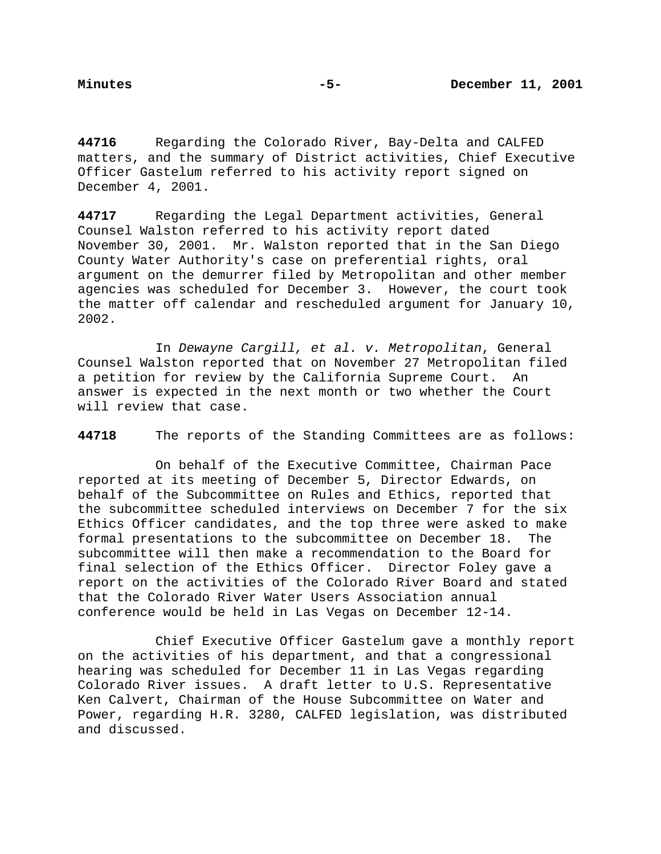**44716** Regarding the Colorado River, Bay-Delta and CALFED matters, and the summary of District activities, Chief Executive Officer Gastelum referred to his activity report signed on December 4, 2001.

**44717** Regarding the Legal Department activities, General Counsel Walston referred to his activity report dated November 30, 2001. Mr. Walston reported that in the San Diego County Water Authority's case on preferential rights, oral argument on the demurrer filed by Metropolitan and other member agencies was scheduled for December 3. However, the court took the matter off calendar and rescheduled argument for January 10, 2002.

In Dewayne Cargill, et al. v. Metropolitan, General Counsel Walston reported that on November 27 Metropolitan filed a petition for review by the California Supreme Court. An answer is expected in the next month or two whether the Court will review that case.

**44718** The reports of the Standing Committees are as follows:

On behalf of the Executive Committee, Chairman Pace reported at its meeting of December 5, Director Edwards, on behalf of the Subcommittee on Rules and Ethics, reported that the subcommittee scheduled interviews on December 7 for the six Ethics Officer candidates, and the top three were asked to make formal presentations to the subcommittee on December 18. The subcommittee will then make a recommendation to the Board for final selection of the Ethics Officer. Director Foley gave a report on the activities of the Colorado River Board and stated that the Colorado River Water Users Association annual conference would be held in Las Vegas on December 12-14.

Chief Executive Officer Gastelum gave a monthly report on the activities of his department, and that a congressional hearing was scheduled for December 11 in Las Vegas regarding Colorado River issues. A draft letter to U.S. Representative Ken Calvert, Chairman of the House Subcommittee on Water and Power, regarding H.R. 3280, CALFED legislation, was distributed and discussed.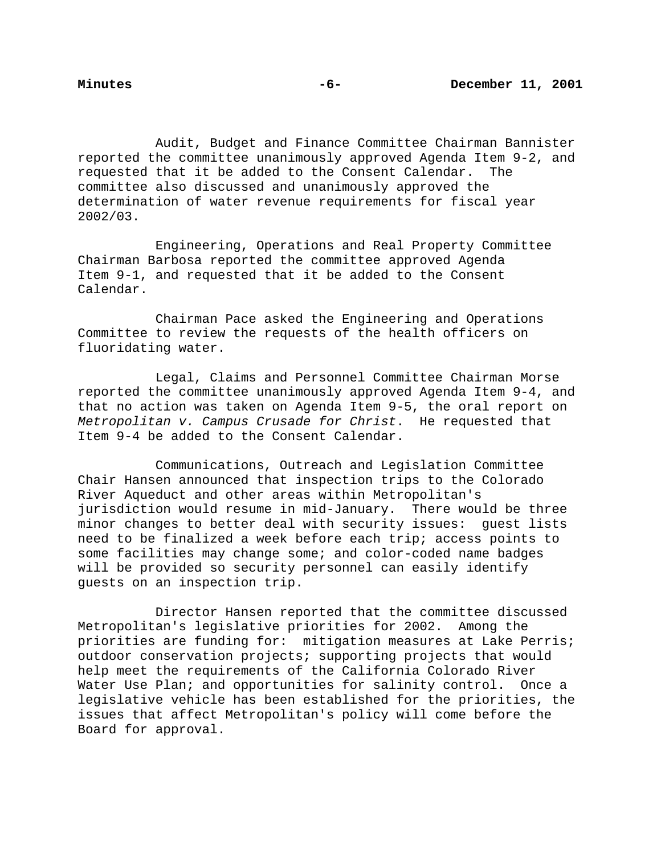Audit, Budget and Finance Committee Chairman Bannister reported the committee unanimously approved Agenda Item 9-2, and requested that it be added to the Consent Calendar. The committee also discussed and unanimously approved the determination of water revenue requirements for fiscal year 2002/03.

Engineering, Operations and Real Property Committee Chairman Barbosa reported the committee approved Agenda Item 9-1, and requested that it be added to the Consent Calendar.

Chairman Pace asked the Engineering and Operations Committee to review the requests of the health officers on fluoridating water.

Legal, Claims and Personnel Committee Chairman Morse reported the committee unanimously approved Agenda Item 9-4, and that no action was taken on Agenda Item 9-5, the oral report on Metropolitan v. Campus Crusade for Christ. He requested that Item 9-4 be added to the Consent Calendar.

Communications, Outreach and Legislation Committee Chair Hansen announced that inspection trips to the Colorado River Aqueduct and other areas within Metropolitan's jurisdiction would resume in mid-January. There would be three minor changes to better deal with security issues: guest lists need to be finalized a week before each trip; access points to some facilities may change some; and color-coded name badges will be provided so security personnel can easily identify guests on an inspection trip.

Director Hansen reported that the committee discussed Metropolitan's legislative priorities for 2002. Among the priorities are funding for: mitigation measures at Lake Perris; outdoor conservation projects; supporting projects that would help meet the requirements of the California Colorado River Water Use Plan; and opportunities for salinity control. Once a legislative vehicle has been established for the priorities, the issues that affect Metropolitan's policy will come before the Board for approval.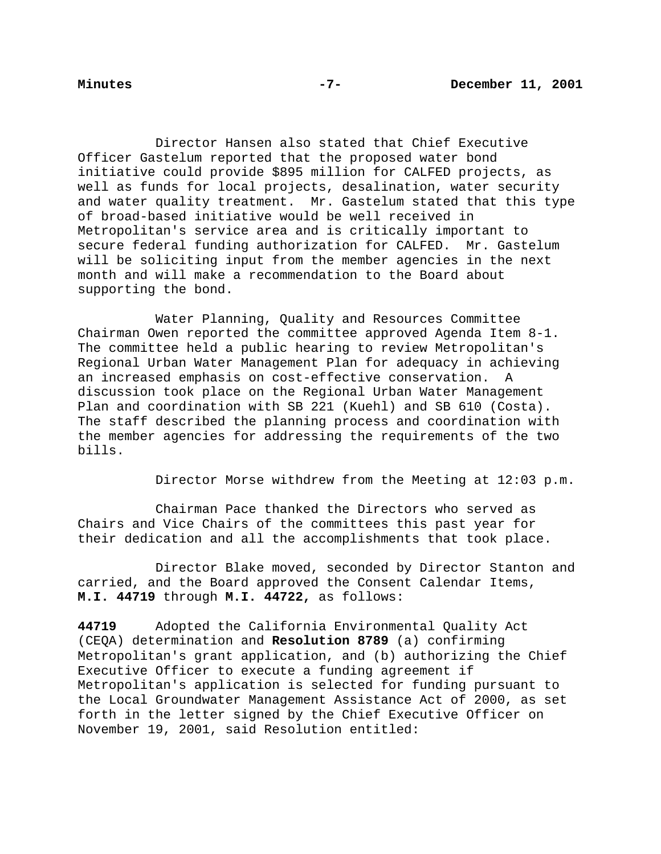Director Hansen also stated that Chief Executive Officer Gastelum reported that the proposed water bond initiative could provide \$895 million for CALFED projects, as well as funds for local projects, desalination, water security and water quality treatment. Mr. Gastelum stated that this type of broad-based initiative would be well received in Metropolitan's service area and is critically important to secure federal funding authorization for CALFED. Mr. Gastelum will be soliciting input from the member agencies in the next month and will make a recommendation to the Board about supporting the bond.

Water Planning, Quality and Resources Committee Chairman Owen reported the committee approved Agenda Item 8-1. The committee held a public hearing to review Metropolitan's Regional Urban Water Management Plan for adequacy in achieving an increased emphasis on cost-effective conservation. A discussion took place on the Regional Urban Water Management Plan and coordination with SB 221 (Kuehl) and SB 610 (Costa). The staff described the planning process and coordination with the member agencies for addressing the requirements of the two bills.

Director Morse withdrew from the Meeting at 12:03 p.m.

Chairman Pace thanked the Directors who served as Chairs and Vice Chairs of the committees this past year for their dedication and all the accomplishments that took place.

Director Blake moved, seconded by Director Stanton and carried, and the Board approved the Consent Calendar Items, **M.I. 44719** through **M.I. 44722,** as follows:

**44719** Adopted the California Environmental Quality Act (CEQA) determination and **Resolution 8789** (a) confirming Metropolitan's grant application, and (b) authorizing the Chief Executive Officer to execute a funding agreement if Metropolitan's application is selected for funding pursuant to the Local Groundwater Management Assistance Act of 2000, as set forth in the letter signed by the Chief Executive Officer on November 19, 2001, said Resolution entitled: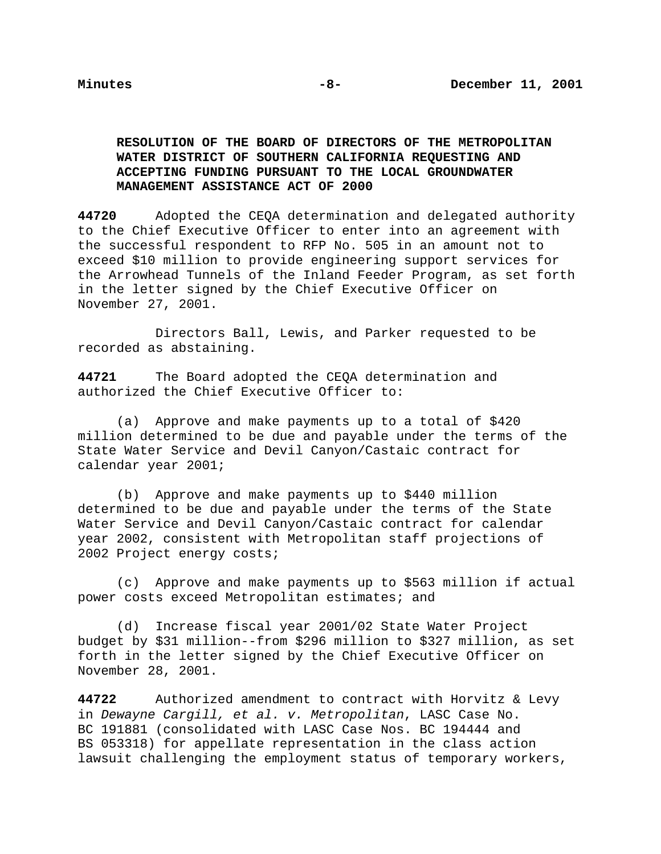# **RESOLUTION OF THE BOARD OF DIRECTORS OF THE METROPOLITAN WATER DISTRICT OF SOUTHERN CALIFORNIA REQUESTING AND ACCEPTING FUNDING PURSUANT TO THE LOCAL GROUNDWATER MANAGEMENT ASSISTANCE ACT OF 2000**

**44720** Adopted the CEQA determination and delegated authority to the Chief Executive Officer to enter into an agreement with the successful respondent to RFP No. 505 in an amount not to exceed \$10 million to provide engineering support services for the Arrowhead Tunnels of the Inland Feeder Program, as set forth in the letter signed by the Chief Executive Officer on November 27, 2001.

Directors Ball, Lewis, and Parker requested to be recorded as abstaining.

**44721** The Board adopted the CEQA determination and authorized the Chief Executive Officer to:

(a) Approve and make payments up to a total of \$420 million determined to be due and payable under the terms of the State Water Service and Devil Canyon/Castaic contract for calendar year 2001;

(b) Approve and make payments up to \$440 million determined to be due and payable under the terms of the State Water Service and Devil Canyon/Castaic contract for calendar year 2002, consistent with Metropolitan staff projections of 2002 Project energy costs;

(c) Approve and make payments up to \$563 million if actual power costs exceed Metropolitan estimates; and

(d) Increase fiscal year 2001/02 State Water Project budget by \$31 million--from \$296 million to \$327 million, as set forth in the letter signed by the Chief Executive Officer on November 28, 2001.

**44722** Authorized amendment to contract with Horvitz & Levy in Dewayne Cargill, et al. v. Metropolitan, LASC Case No. BC 191881 (consolidated with LASC Case Nos. BC 194444 and BS 053318) for appellate representation in the class action lawsuit challenging the employment status of temporary workers,